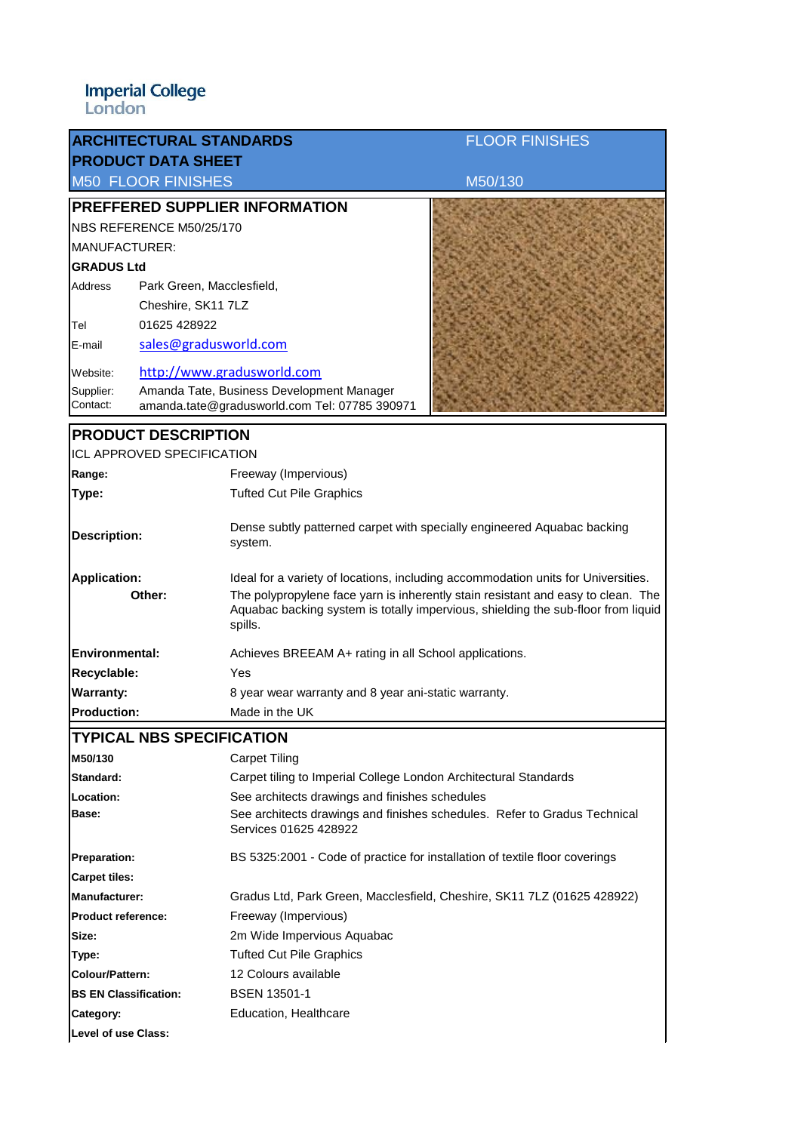| <b>ARCHITECTURAL STANDARDS</b>                                                 | <b>FLOOR FINISHES</b>                                                                                                                                                            |  |  |
|--------------------------------------------------------------------------------|----------------------------------------------------------------------------------------------------------------------------------------------------------------------------------|--|--|
| <b>PRODUCT DATA SHEET</b>                                                      |                                                                                                                                                                                  |  |  |
| <b>M50 FLOOR FINISHES</b>                                                      | M50/130                                                                                                                                                                          |  |  |
| PREFFERED SUPPLIER INFORMATION                                                 |                                                                                                                                                                                  |  |  |
| NBS REFERENCE M50/25/170                                                       |                                                                                                                                                                                  |  |  |
| MANUFACTURER:                                                                  |                                                                                                                                                                                  |  |  |
| <b>GRADUS Ltd</b>                                                              |                                                                                                                                                                                  |  |  |
| Address                                                                        | Park Green, Macclesfield,                                                                                                                                                        |  |  |
|                                                                                | Cheshire, SK11 7LZ                                                                                                                                                               |  |  |
| 01625 428922<br>Tel                                                            |                                                                                                                                                                                  |  |  |
| E-mail                                                                         | sales@gradusworld.com                                                                                                                                                            |  |  |
| Website:                                                                       | http://www.gradusworld.com                                                                                                                                                       |  |  |
| Supplier:                                                                      | Amanda Tate, Business Development Manager                                                                                                                                        |  |  |
| Contact:                                                                       | amanda.tate@gradusworld.com Tel: 07785 390971                                                                                                                                    |  |  |
| <b>PRODUCT DESCRIPTION</b>                                                     |                                                                                                                                                                                  |  |  |
| <b>ICL APPROVED SPECIFICATION</b>                                              |                                                                                                                                                                                  |  |  |
| Range:                                                                         | Freeway (Impervious)                                                                                                                                                             |  |  |
| Type:                                                                          | <b>Tufted Cut Pile Graphics</b>                                                                                                                                                  |  |  |
|                                                                                |                                                                                                                                                                                  |  |  |
| <b>Description:</b>                                                            | Dense subtly patterned carpet with specially engineered Aquabac backing<br>system.                                                                                               |  |  |
| <b>Application:</b>                                                            | Ideal for a variety of locations, including accommodation units for Universities.                                                                                                |  |  |
| Other:                                                                         | The polypropylene face yarn is inherently stain resistant and easy to clean. The<br>Aquabac backing system is totally impervious, shielding the sub-floor from liquid<br>spills. |  |  |
| <b>Environmental:</b><br>Achieves BREEAM A+ rating in all School applications. |                                                                                                                                                                                  |  |  |
| Recyclable:                                                                    | Yes                                                                                                                                                                              |  |  |
| <b>Warranty:</b>                                                               | 8 year wear warranty and 8 year ani-static warranty.                                                                                                                             |  |  |
| <b>Production:</b>                                                             | Made in the UK                                                                                                                                                                   |  |  |
| <b>TYPICAL NBS SPECIFICATION</b>                                               |                                                                                                                                                                                  |  |  |
| M50/130                                                                        | <b>Carpet Tiling</b>                                                                                                                                                             |  |  |
| Standard:                                                                      | Carpet tiling to Imperial College London Architectural Standards                                                                                                                 |  |  |
| <b>Location:</b>                                                               | See architects drawings and finishes schedules                                                                                                                                   |  |  |
| Base:                                                                          | See architects drawings and finishes schedules. Refer to Gradus Technical<br>Services 01625 428922                                                                               |  |  |
| <b>Preparation:</b>                                                            | BS 5325:2001 - Code of practice for installation of textile floor coverings                                                                                                      |  |  |
| <b>Carpet tiles:</b>                                                           |                                                                                                                                                                                  |  |  |
| <b>Manufacturer:</b>                                                           | Gradus Ltd, Park Green, Macclesfield, Cheshire, SK11 7LZ (01625 428922)                                                                                                          |  |  |
| <b>Product reference:</b>                                                      | Freeway (Impervious)                                                                                                                                                             |  |  |
| Size:                                                                          | 2m Wide Impervious Aquabac                                                                                                                                                       |  |  |
| Type:                                                                          | <b>Tufted Cut Pile Graphics</b>                                                                                                                                                  |  |  |
| Colour/Pattern:                                                                | 12 Colours available                                                                                                                                                             |  |  |
| <b>BS EN Classification:</b>                                                   | <b>BSEN 13501-1</b>                                                                                                                                                              |  |  |
| Category:                                                                      | Education, Healthcare                                                                                                                                                            |  |  |
| Level of use Class:                                                            |                                                                                                                                                                                  |  |  |